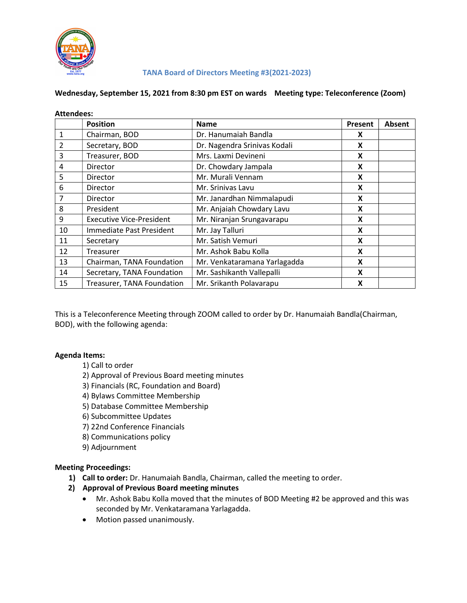

#### TANA Board of Directors Meeting #3(2021-2023)

#### Wednesday, September 15, 2021 from 8:30 pm EST on wards Meeting type: Teleconference (Zoom)

| <b>Attendees:</b> |                                 |                              |         |               |
|-------------------|---------------------------------|------------------------------|---------|---------------|
|                   | <b>Position</b>                 | <b>Name</b>                  | Present | <b>Absent</b> |
| 1                 | Chairman, BOD                   | Dr. Hanumaiah Bandla         | X       |               |
| 2                 | Secretary, BOD                  | Dr. Nagendra Srinivas Kodali | X       |               |
| 3                 | Treasurer, BOD                  | Mrs. Laxmi Devineni          | X       |               |
| 4                 | <b>Director</b>                 | Dr. Chowdary Jampala         | X       |               |
| 5                 | <b>Director</b>                 | Mr. Murali Vennam            | X       |               |
| 6                 | <b>Director</b>                 | Mr. Srinivas Lavu            | X       |               |
| 7                 | <b>Director</b>                 | Mr. Janardhan Nimmalapudi    | X       |               |
| 8                 | President                       | Mr. Anjaiah Chowdary Lavu    | X       |               |
| 9                 | <b>Executive Vice-President</b> | Mr. Niranjan Srungavarapu    | X       |               |
| 10                | Immediate Past President        | Mr. Jay Talluri              | X       |               |
| 11                | Secretary                       | Mr. Satish Vemuri            | X       |               |
| 12                | Treasurer                       | Mr. Ashok Babu Kolla         | X       |               |
| 13                | Chairman, TANA Foundation       | Mr. Venkataramana Yarlagadda | X       |               |
| 14                | Secretary, TANA Foundation      | Mr. Sashikanth Vallepalli    | X       |               |
| 15                | Treasurer, TANA Foundation      | Mr. Srikanth Polavarapu      | X       |               |

This is a Teleconference Meeting through ZOOM called to order by Dr. Hanumaiah Bandla(Chairman, BOD), with the following agenda:

# Agenda Items:

- 1) Call to order
- 2) Approval of Previous Board meeting minutes
- 3) Financials (RC, Foundation and Board)
- 4) Bylaws Committee Membership
- 5) Database Committee Membership
- 6) Subcommittee Updates
- 7) 22nd Conference Financials
- 8) Communications policy
- 9) Adjournment

# Meeting Proceedings:

- 1) Call to order: Dr. Hanumaiah Bandla, Chairman, called the meeting to order.
- 2) Approval of Previous Board meeting minutes
	- Mr. Ashok Babu Kolla moved that the minutes of BOD Meeting #2 be approved and this was seconded by Mr. Venkataramana Yarlagadda.
	- Motion passed unanimously.